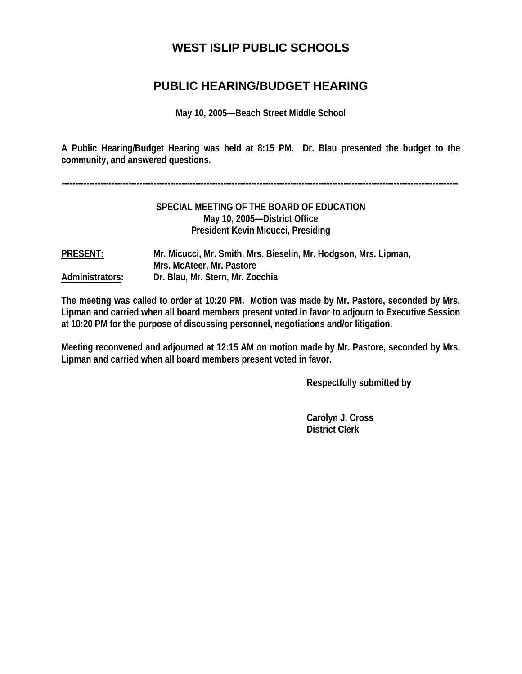# **WEST ISLIP PUBLIC SCHOOLS**

## **PUBLIC HEARING/BUDGET HEARING**

**May 10, 2005—Beach Street Middle School** 

**A Public Hearing/Budget Hearing was held at 8:15 PM. Dr. Blau presented the budget to the community, and answered questions.** 

**----------------------------------------------------------------------------------------------------------------------------------------------** 

#### **SPECIAL MEETING OF THE BOARD OF EDUCATION May 10, 2005—District Office President Kevin Micucci, Presiding**

**PRESENT: Mr. Micucci, Mr. Smith, Mrs. Bieselin, Mr. Hodgson, Mrs. Lipman, Mrs. McAteer, Mr. Pastore Administrators: Dr. Blau, Mr. Stern, Mr. Zocchia** 

**The meeting was called to order at 10:20 PM. Motion was made by Mr. Pastore, seconded by Mrs. Lipman and carried when all board members present voted in favor to adjourn to Executive Session at 10:20 PM for the purpose of discussing personnel, negotiations and/or litigation.** 

**Meeting reconvened and adjourned at 12:15 AM on motion made by Mr. Pastore, seconded by Mrs. Lipman and carried when all board members present voted in favor.** 

 **Respectfully submitted by** 

 **Carolyn J. Cross District Clerk**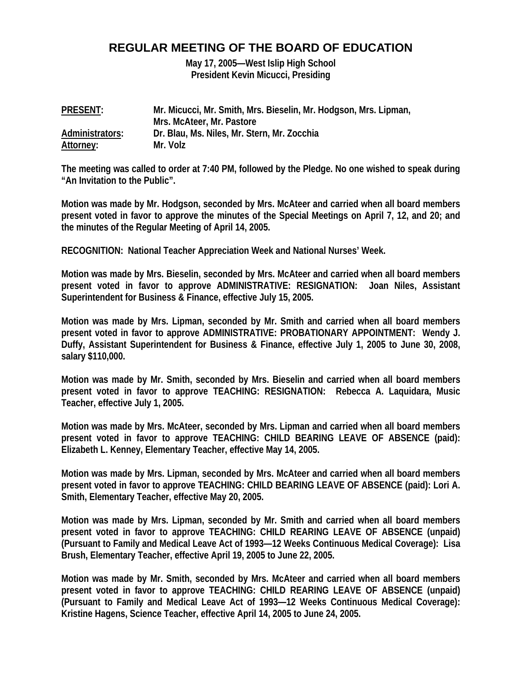### **REGULAR MEETING OF THE BOARD OF EDUCATION**

**May 17, 2005—West Islip High School President Kevin Micucci, Presiding** 

| <b>PRESENT:</b> | Mr. Micucci, Mr. Smith, Mrs. Bieselin, Mr. Hodgson, Mrs. Lipman, |
|-----------------|------------------------------------------------------------------|
|                 | Mrs. McAteer, Mr. Pastore                                        |
| Administrators: | Dr. Blau, Ms. Niles, Mr. Stern, Mr. Zocchia                      |
| Attorney:       | Mr. Volz                                                         |

**The meeting was called to order at 7:40 PM, followed by the Pledge. No one wished to speak during "An Invitation to the Public".** 

**Motion was made by Mr. Hodgson, seconded by Mrs. McAteer and carried when all board members present voted in favor to approve the minutes of the Special Meetings on April 7, 12, and 20; and the minutes of the Regular Meeting of April 14, 2005.** 

**RECOGNITION: National Teacher Appreciation Week and National Nurses' Week.** 

**Motion was made by Mrs. Bieselin, seconded by Mrs. McAteer and carried when all board members present voted in favor to approve ADMINISTRATIVE: RESIGNATION: Joan Niles, Assistant Superintendent for Business & Finance, effective July 15, 2005.** 

**Motion was made by Mrs. Lipman, seconded by Mr. Smith and carried when all board members present voted in favor to approve ADMINISTRATIVE: PROBATIONARY APPOINTMENT: Wendy J. Duffy, Assistant Superintendent for Business & Finance, effective July 1, 2005 to June 30, 2008, salary \$110,000.** 

**Motion was made by Mr. Smith, seconded by Mrs. Bieselin and carried when all board members present voted in favor to approve TEACHING: RESIGNATION: Rebecca A. Laquidara, Music Teacher, effective July 1, 2005.** 

**Motion was made by Mrs. McAteer, seconded by Mrs. Lipman and carried when all board members present voted in favor to approve TEACHING: CHILD BEARING LEAVE OF ABSENCE (paid): Elizabeth L. Kenney, Elementary Teacher, effective May 14, 2005.** 

**Motion was made by Mrs. Lipman, seconded by Mrs. McAteer and carried when all board members present voted in favor to approve TEACHING: CHILD BEARING LEAVE OF ABSENCE (paid): Lori A. Smith, Elementary Teacher, effective May 20, 2005.** 

**Motion was made by Mrs. Lipman, seconded by Mr. Smith and carried when all board members present voted in favor to approve TEACHING: CHILD REARING LEAVE OF ABSENCE (unpaid) (Pursuant to Family and Medical Leave Act of 1993—12 Weeks Continuous Medical Coverage): Lisa Brush, Elementary Teacher, effective April 19, 2005 to June 22, 2005.** 

**Motion was made by Mr. Smith, seconded by Mrs. McAteer and carried when all board members present voted in favor to approve TEACHING: CHILD REARING LEAVE OF ABSENCE (unpaid) (Pursuant to Family and Medical Leave Act of 1993—12 Weeks Continuous Medical Coverage): Kristine Hagens, Science Teacher, effective April 14, 2005 to June 24, 2005.**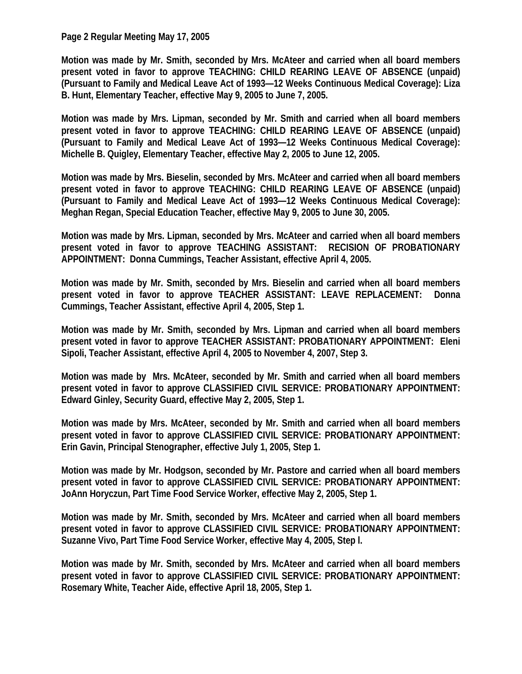#### **Page 2 Regular Meeting May 17, 2005**

**Motion was made by Mr. Smith, seconded by Mrs. McAteer and carried when all board members present voted in favor to approve TEACHING: CHILD REARING LEAVE OF ABSENCE (unpaid) (Pursuant to Family and Medical Leave Act of 1993—12 Weeks Continuous Medical Coverage): Liza B. Hunt, Elementary Teacher, effective May 9, 2005 to June 7, 2005.** 

**Motion was made by Mrs. Lipman, seconded by Mr. Smith and carried when all board members present voted in favor to approve TEACHING: CHILD REARING LEAVE OF ABSENCE (unpaid) (Pursuant to Family and Medical Leave Act of 1993—12 Weeks Continuous Medical Coverage): Michelle B. Quigley, Elementary Teacher, effective May 2, 2005 to June 12, 2005.** 

**Motion was made by Mrs. Bieselin, seconded by Mrs. McAteer and carried when all board members present voted in favor to approve TEACHING: CHILD REARING LEAVE OF ABSENCE (unpaid) (Pursuant to Family and Medical Leave Act of 1993—12 Weeks Continuous Medical Coverage): Meghan Regan, Special Education Teacher, effective May 9, 2005 to June 30, 2005.** 

**Motion was made by Mrs. Lipman, seconded by Mrs. McAteer and carried when all board members present voted in favor to approve TEACHING ASSISTANT: RECISION OF PROBATIONARY APPOINTMENT: Donna Cummings, Teacher Assistant, effective April 4, 2005.** 

**Motion was made by Mr. Smith, seconded by Mrs. Bieselin and carried when all board members present voted in favor to approve TEACHER ASSISTANT: LEAVE REPLACEMENT: Donna Cummings, Teacher Assistant, effective April 4, 2005, Step 1.** 

**Motion was made by Mr. Smith, seconded by Mrs. Lipman and carried when all board members present voted in favor to approve TEACHER ASSISTANT: PROBATIONARY APPOINTMENT: Eleni Sipoli, Teacher Assistant, effective April 4, 2005 to November 4, 2007, Step 3.** 

**Motion was made by Mrs. McAteer, seconded by Mr. Smith and carried when all board members present voted in favor to approve CLASSIFIED CIVIL SERVICE: PROBATIONARY APPOINTMENT: Edward Ginley, Security Guard, effective May 2, 2005, Step 1.** 

**Motion was made by Mrs. McAteer, seconded by Mr. Smith and carried when all board members present voted in favor to approve CLASSIFIED CIVIL SERVICE: PROBATIONARY APPOINTMENT: Erin Gavin, Principal Stenographer, effective July 1, 2005, Step 1.** 

**Motion was made by Mr. Hodgson, seconded by Mr. Pastore and carried when all board members present voted in favor to approve CLASSIFIED CIVIL SERVICE: PROBATIONARY APPOINTMENT: JoAnn Horyczun, Part Time Food Service Worker, effective May 2, 2005, Step 1.** 

**Motion was made by Mr. Smith, seconded by Mrs. McAteer and carried when all board members present voted in favor to approve CLASSIFIED CIVIL SERVICE: PROBATIONARY APPOINTMENT: Suzanne Vivo, Part Time Food Service Worker, effective May 4, 2005, Step l.** 

**Motion was made by Mr. Smith, seconded by Mrs. McAteer and carried when all board members present voted in favor to approve CLASSIFIED CIVIL SERVICE: PROBATIONARY APPOINTMENT: Rosemary White, Teacher Aide, effective April 18, 2005, Step 1.**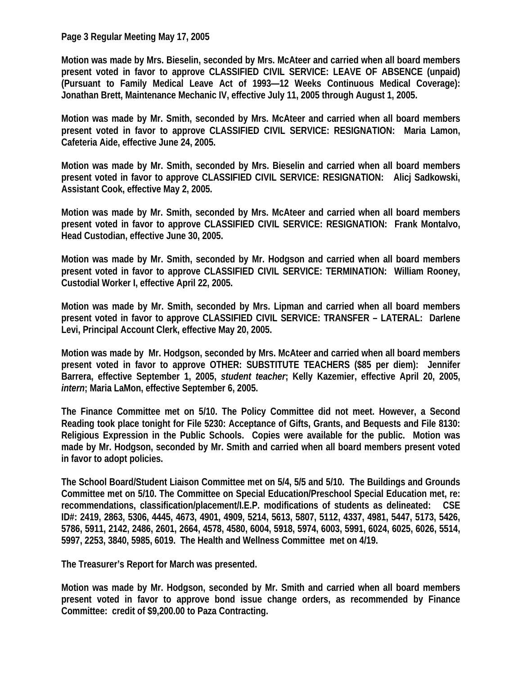**Page 3 Regular Meeting May 17, 2005** 

**Motion was made by Mrs. Bieselin, seconded by Mrs. McAteer and carried when all board members present voted in favor to approve CLASSIFIED CIVIL SERVICE: LEAVE OF ABSENCE (unpaid) (Pursuant to Family Medical Leave Act of 1993—12 Weeks Continuous Medical Coverage): Jonathan Brett, Maintenance Mechanic IV, effective July 11, 2005 through August 1, 2005.** 

**Motion was made by Mr. Smith, seconded by Mrs. McAteer and carried when all board members present voted in favor to approve CLASSIFIED CIVIL SERVICE: RESIGNATION: Maria Lamon, Cafeteria Aide, effective June 24, 2005.** 

**Motion was made by Mr. Smith, seconded by Mrs. Bieselin and carried when all board members present voted in favor to approve CLASSIFIED CIVIL SERVICE: RESIGNATION: Alicj Sadkowski, Assistant Cook, effective May 2, 2005.** 

**Motion was made by Mr. Smith, seconded by Mrs. McAteer and carried when all board members present voted in favor to approve CLASSIFIED CIVIL SERVICE: RESIGNATION: Frank Montalvo, Head Custodian, effective June 30, 2005.** 

**Motion was made by Mr. Smith, seconded by Mr. Hodgson and carried when all board members present voted in favor to approve CLASSIFIED CIVIL SERVICE: TERMINATION: William Rooney, Custodial Worker I, effective April 22, 2005.** 

**Motion was made by Mr. Smith, seconded by Mrs. Lipman and carried when all board members present voted in favor to approve CLASSIFIED CIVIL SERVICE: TRANSFER – LATERAL: Darlene Levi, Principal Account Clerk, effective May 20, 2005.** 

**Motion was made by Mr. Hodgson, seconded by Mrs. McAteer and carried when all board members present voted in favor to approve OTHER: SUBSTITUTE TEACHERS (\$85 per diem): Jennifer Barrera, effective September 1, 2005,** *student teacher***; Kelly Kazemier, effective April 20, 2005,**  *intern***; Maria LaMon, effective September 6, 2005.** 

**The Finance Committee met on 5/10. The Policy Committee did not meet. However, a Second Reading took place tonight for File 5230: Acceptance of Gifts, Grants, and Bequests and File 8130: Religious Expression in the Public Schools. Copies were available for the public. Motion was made by Mr. Hodgson, seconded by Mr. Smith and carried when all board members present voted in favor to adopt policies.** 

**The School Board/Student Liaison Committee met on 5/4, 5/5 and 5/10. The Buildings and Grounds Committee met on 5/10. The Committee on Special Education/Preschool Special Education met, re: recommendations, classification/placement/I.E.P. modifications of students as delineated: CSE ID#: 2419, 2863, 5306, 4445, 4673, 4901, 4909, 5214, 5613, 5807, 5112, 4337, 4981, 5447, 5173, 5426, 5786, 5911, 2142, 2486, 2601, 2664, 4578, 4580, 6004, 5918, 5974, 6003, 5991, 6024, 6025, 6026, 5514, 5997, 2253, 3840, 5985, 6019. The Health and Wellness Committee met on 4/19.** 

**The Treasurer's Report for March was presented.** 

**Motion was made by Mr. Hodgson, seconded by Mr. Smith and carried when all board members present voted in favor to approve bond issue change orders, as recommended by Finance Committee: credit of \$9,200.00 to Paza Contracting.**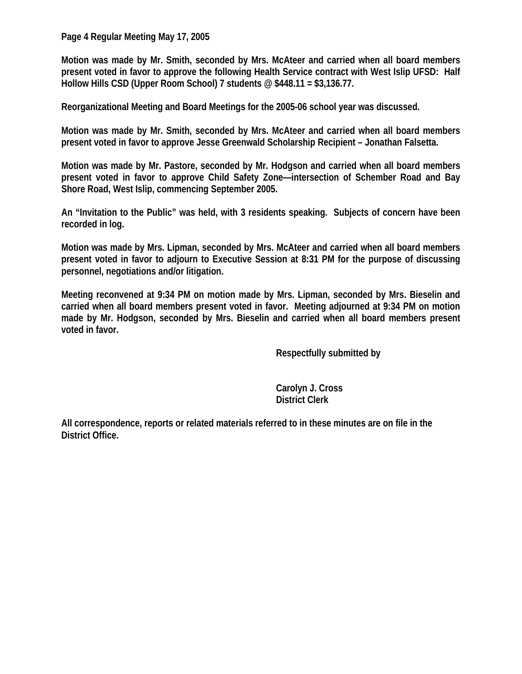**Page 4 Regular Meeting May 17, 2005** 

**Motion was made by Mr. Smith, seconded by Mrs. McAteer and carried when all board members present voted in favor to approve the following Health Service contract with West Islip UFSD: Half Hollow Hills CSD (Upper Room School) 7 students @ \$448.11 = \$3,136.77.** 

**Reorganizational Meeting and Board Meetings for the 2005-06 school year was discussed.** 

**Motion was made by Mr. Smith, seconded by Mrs. McAteer and carried when all board members present voted in favor to approve Jesse Greenwald Scholarship Recipient – Jonathan Falsetta.** 

**Motion was made by Mr. Pastore, seconded by Mr. Hodgson and carried when all board members present voted in favor to approve Child Safety Zone—intersection of Schember Road and Bay Shore Road, West Islip, commencing September 2005.** 

**An "Invitation to the Public" was held, with 3 residents speaking. Subjects of concern have been recorded in log.** 

**Motion was made by Mrs. Lipman, seconded by Mrs. McAteer and carried when all board members present voted in favor to adjourn to Executive Session at 8:31 PM for the purpose of discussing personnel, negotiations and/or litigation.** 

**Meeting reconvened at 9:34 PM on motion made by Mrs. Lipman, seconded by Mrs. Bieselin and carried when all board members present voted in favor. Meeting adjourned at 9:34 PM on motion made by Mr. Hodgson, seconded by Mrs. Bieselin and carried when all board members present voted in favor.** 

 **Respectfully submitted by** 

 **Carolyn J. Cross District Clerk** 

**All correspondence, reports or related materials referred to in these minutes are on file in the District Office.**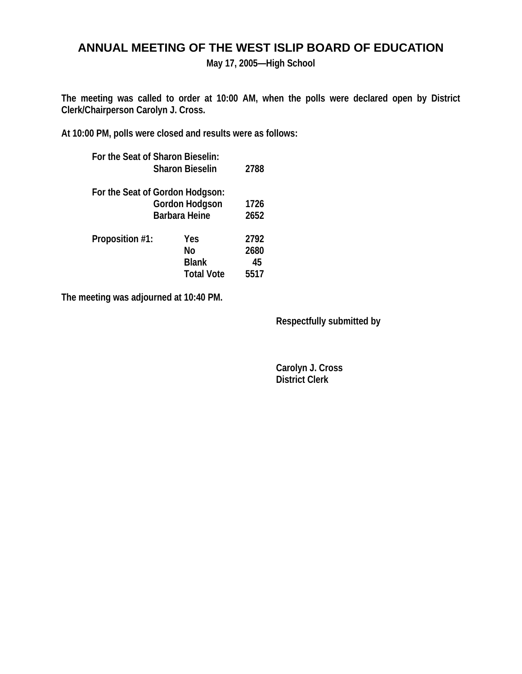## **ANNUAL MEETING OF THE WEST ISLIP BOARD OF EDUCATION**

**May 17, 2005—High School** 

**The meeting was called to order at 10:00 AM, when the polls were declared open by District Clerk/Chairperson Carolyn J. Cross.** 

**At 10:00 PM, polls were closed and results were as follows:** 

|                   | 2788                                                                                                                  |
|-------------------|-----------------------------------------------------------------------------------------------------------------------|
|                   |                                                                                                                       |
| Gordon Hodgson    |                                                                                                                       |
|                   | 2652                                                                                                                  |
| Yes               | 2792                                                                                                                  |
| No                | 2680                                                                                                                  |
| <b>Blank</b>      | 45                                                                                                                    |
| <b>Total Vote</b> | 5517                                                                                                                  |
|                   | For the Seat of Sharon Bieselin:<br><b>Sharon Bieselin</b><br>For the Seat of Gordon Hodgson:<br><b>Barbara Heine</b> |

**The meeting was adjourned at 10:40 PM.** 

 **Respectfully submitted by** 

 **Carolyn J. Cross District Clerk**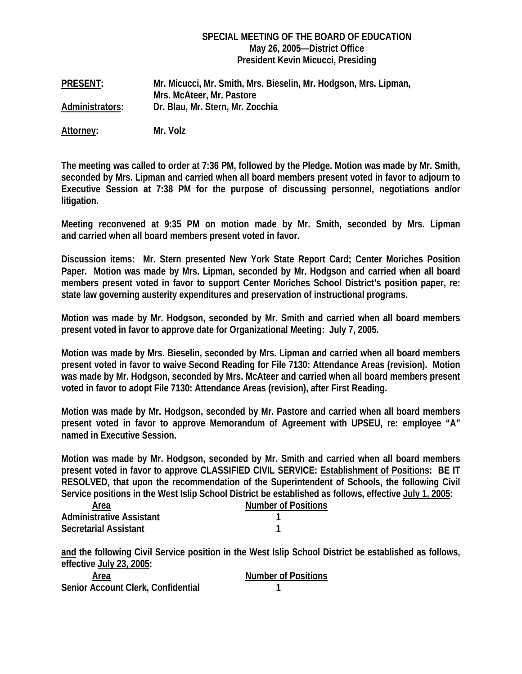#### **SPECIAL MEETING OF THE BOARD OF EDUCATION May 26, 2005—District Office President Kevin Micucci, Presiding**

**PRESENT: Mr. Micucci, Mr. Smith, Mrs. Bieselin, Mr. Hodgson, Mrs. Lipman, Mrs. McAteer, Mr. Pastore Administrators: Dr. Blau, Mr. Stern, Mr. Zocchia** 

**Attorney: Mr. Volz** 

**The meeting was called to order at 7:36 PM, followed by the Pledge. Motion was made by Mr. Smith, seconded by Mrs. Lipman and carried when all board members present voted in favor to adjourn to Executive Session at 7:38 PM for the purpose of discussing personnel, negotiations and/or litigation.** 

**Meeting reconvened at 9:35 PM on motion made by Mr. Smith, seconded by Mrs. Lipman and carried when all board members present voted in favor.** 

**Discussion items: Mr. Stern presented New York State Report Card; Center Moriches Position Paper. Motion was made by Mrs. Lipman, seconded by Mr. Hodgson and carried when all board members present voted in favor to support Center Moriches School District's position paper, re: state law governing austerity expenditures and preservation of instructional programs.** 

**Motion was made by Mr. Hodgson, seconded by Mr. Smith and carried when all board members present voted in favor to approve date for Organizational Meeting: July 7, 2005.** 

**Motion was made by Mrs. Bieselin, seconded by Mrs. Lipman and carried when all board members present voted in favor to waive Second Reading for File 7130: Attendance Areas (revision). Motion was made by Mr. Hodgson, seconded by Mrs. McAteer and carried when all board members present voted in favor to adopt File 7130: Attendance Areas (revision), after First Reading.** 

**Motion was made by Mr. Hodgson, seconded by Mr. Pastore and carried when all board members present voted in favor to approve Memorandum of Agreement with UPSEU, re: employee "A" named in Executive Session.** 

**Motion was made by Mr. Hodgson, seconded by Mr. Smith and carried when all board members present voted in favor to approve CLASSIFIED CIVIL SERVICE: Establishment of Positions: BE IT RESOLVED, that upon the recommendation of the Superintendent of Schools, the following Civil Service positions in the West Islip School District be established as follows, effective July 1, 2005:** 

| Area                            | <b>Number of Positions</b> |
|---------------------------------|----------------------------|
| <b>Administrative Assistant</b> |                            |
| <b>Secretarial Assistant</b>    |                            |

**and the following Civil Service position in the West Islip School District be established as follows, effective July 23, 2005:** 

| Area                               | <b>Number of Positions</b> |
|------------------------------------|----------------------------|
| Senior Account Clerk, Confidential |                            |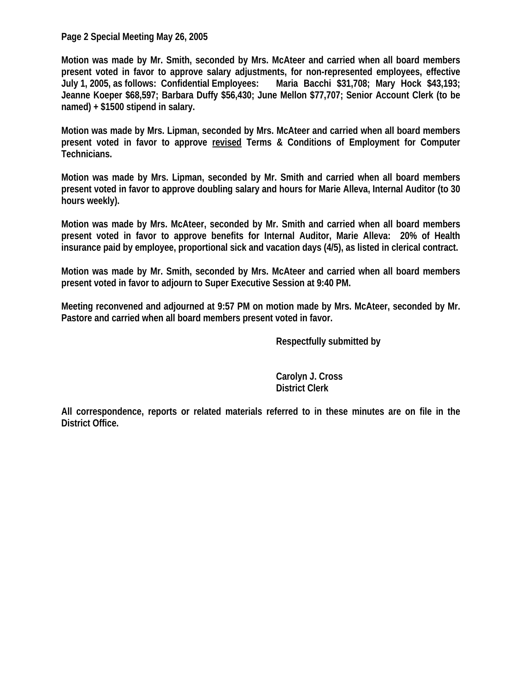**Page 2 Special Meeting May 26, 2005** 

**Motion was made by Mr. Smith, seconded by Mrs. McAteer and carried when all board members present voted in favor to approve salary adjustments, for non-represented employees, effective July 1, 2005, as follows: Confidential Employees: Maria Bacchi \$31,708; Mary Hock \$43,193; Jeanne Koeper \$68,597; Barbara Duffy \$56,430; June Mellon \$77,707; Senior Account Clerk (to be named) + \$1500 stipend in salary.** 

**Motion was made by Mrs. Lipman, seconded by Mrs. McAteer and carried when all board members present voted in favor to approve revised Terms & Conditions of Employment for Computer Technicians.** 

**Motion was made by Mrs. Lipman, seconded by Mr. Smith and carried when all board members present voted in favor to approve doubling salary and hours for Marie Alleva, Internal Auditor (to 30 hours weekly).** 

**Motion was made by Mrs. McAteer, seconded by Mr. Smith and carried when all board members present voted in favor to approve benefits for Internal Auditor, Marie Alleva: 20% of Health insurance paid by employee, proportional sick and vacation days (4/5), as listed in clerical contract.** 

**Motion was made by Mr. Smith, seconded by Mrs. McAteer and carried when all board members present voted in favor to adjourn to Super Executive Session at 9:40 PM.** 

**Meeting reconvened and adjourned at 9:57 PM on motion made by Mrs. McAteer, seconded by Mr. Pastore and carried when all board members present voted in favor.** 

 **Respectfully submitted by** 

 **Carolyn J. Cross District Clerk** 

**All correspondence, reports or related materials referred to in these minutes are on file in the District Office.**